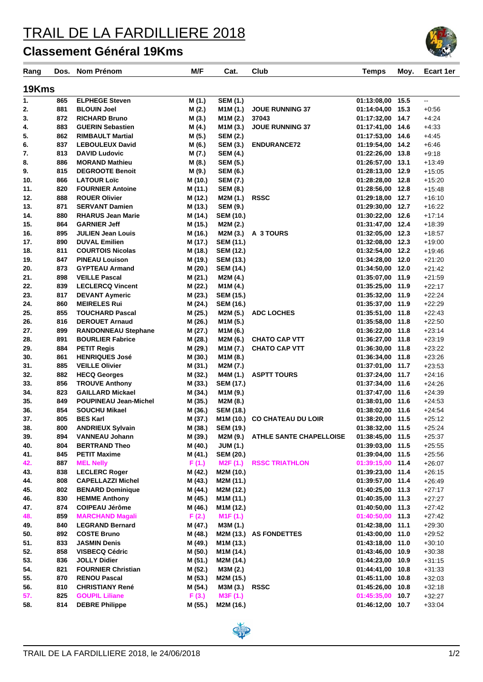## TRAIL DE LA FARDILLIERE 2018

## **Classement Général 19Kms**

| Rang       | Dos.       | Nom Prénom                                      | M/F                | Cat.                               | Club                                         | <b>Temps</b>                         | Moy. | Ecart 1er            |  |  |  |  |  |
|------------|------------|-------------------------------------------------|--------------------|------------------------------------|----------------------------------------------|--------------------------------------|------|----------------------|--|--|--|--|--|
|            |            |                                                 |                    |                                    |                                              |                                      |      |                      |  |  |  |  |  |
| 19Kms      |            |                                                 |                    |                                    |                                              |                                      |      |                      |  |  |  |  |  |
| 1.         | 865        | <b>ELPHEGE Steven</b>                           | M (1.)             | <b>SEM (1.)</b>                    |                                              | 01:13:08,00 15.5                     |      | Ξ.                   |  |  |  |  |  |
| 2.         | 881        | <b>BLOUIN Joel</b>                              | M (2.)             | M1M (1.)                           | <b>JOUE RUNNING 37</b>                       | 01:14:04.00 15.3                     |      | $+0.56$              |  |  |  |  |  |
| 3.         | 872        | <b>RICHARD Bruno</b>                            | M (3.)             | M1M (2.)                           | 37043                                        | 01:17:32,00 14.7                     |      | $+4.24$              |  |  |  |  |  |
| 4.         | 883        | <b>GUERIN Sebastien</b>                         | M (4.)             | M <sub>1</sub> M <sub>(3.)</sub>   | <b>JOUE RUNNING 37</b>                       | 01:17:41,00 14.6                     |      | $+4:33$              |  |  |  |  |  |
| 5.         | 862        | <b>RIMBAULT Martial</b>                         | M (5.)             | <b>SEM (2.)</b>                    |                                              | 01:17:53,00 14.6                     |      | $+4:45$              |  |  |  |  |  |
| 6.         | 837        | <b>LEBOULEUX David</b>                          | M (6.)             | <b>SEM (3.)</b>                    | <b>ENDURANCE72</b>                           | 01:19:54,00 14.2                     |      | $+6:46$              |  |  |  |  |  |
| 7.         | 813        | <b>DAVID Ludovic</b>                            | M (7.)             | <b>SEM (4.)</b>                    |                                              | 01:22:26,00 13.8                     |      | $+9:18$              |  |  |  |  |  |
| 8.<br>9.   | 886<br>815 | <b>MORAND Mathieu</b><br><b>DEGROOTE Benoit</b> | M (8.)             | <b>SEM (5.)</b>                    |                                              | 01:26:57,00 13.1                     |      | $+13.49$             |  |  |  |  |  |
| 10.        | 866        | <b>LATOUR Loïc</b>                              | M (9.)<br>M (10.)  | <b>SEM (6.)</b><br><b>SEM (7.)</b> |                                              | 01:28:13,00 12.9<br>01:28:28,00 12.8 |      | $+15:05$<br>$+15:20$ |  |  |  |  |  |
| 11.        | 820        | <b>FOURNIER Antoine</b>                         | M (11.)            | <b>SEM (8.)</b>                    |                                              | 01:28:56,00 12.8                     |      | $+15.48$             |  |  |  |  |  |
| 12.        | 888        | <b>ROUER Olivier</b>                            | M (12.)            | M2M (1.)                           | <b>RSSC</b>                                  | 01:29:18,00 12.7                     |      | $+16.10$             |  |  |  |  |  |
| 13.        | 871        | <b>SERVANT Damien</b>                           | M (13.)            | <b>SEM (9.)</b>                    |                                              | 01:29:30,00 12.7                     |      | $+16:22$             |  |  |  |  |  |
| 14.        | 880        | <b>RHARUS Jean Marie</b>                        | M (14.)            | <b>SEM (10.)</b>                   |                                              | 01:30:22,00 12.6                     |      | $+17:14$             |  |  |  |  |  |
| 15.        | 864        | <b>GARNIER Jeff</b>                             | M (15.)            | M2M (2.)                           |                                              | 01:31:47,00 12.4                     |      | $+18.39$             |  |  |  |  |  |
| 16.        | 895        | <b>JULIEN Jean Louis</b>                        | M (16.)            | M2M (3.)                           | A 3 TOURS                                    | 01:32:05,00 12.3                     |      | $+18:57$             |  |  |  |  |  |
| 17.        | 890        | <b>DUVAL Emilien</b>                            | M (17.)            | <b>SEM (11.)</b>                   |                                              | 01:32:08,00 12.3                     |      | $+19:00$             |  |  |  |  |  |
| 18.        | 811        | <b>COURTOIS Nicolas</b>                         | M (18.)            | <b>SEM (12.)</b>                   |                                              | 01:32:54,00 12.2                     |      | $+19.46$             |  |  |  |  |  |
| 19.        | 847        | <b>PINEAU Louison</b>                           | M (19.)            | <b>SEM (13.)</b>                   |                                              | 01:34:28,00 12.0                     |      | $+21:20$             |  |  |  |  |  |
| 20.        | 873        | <b>GYPTEAU Armand</b>                           | M (20.)            | <b>SEM (14.)</b>                   |                                              | 01:34:50,00 12.0                     |      | $+21:42$             |  |  |  |  |  |
| 21.        | 898        | <b>VEILLE Pascal</b>                            | M (21.)            | M2M (4.)                           |                                              | 01:35:07,00 11.9                     |      | $+21:59$             |  |  |  |  |  |
| 22.        | 839        | <b>LECLERCQ Vincent</b>                         | M (22.)            | M1M (4.)                           |                                              | 01:35:25,00 11.9                     |      | $+22:17$             |  |  |  |  |  |
| 23.        | 817        | <b>DEVANT Aymeric</b>                           | M (23.)            | <b>SEM (15.)</b>                   |                                              | 01:35:32,00 11.9                     |      | $+22:24$             |  |  |  |  |  |
| 24.        | 860        | <b>MEIRELES Rui</b>                             | M (24.)            | <b>SEM (16.)</b>                   |                                              | 01:35:37,00 11.9                     |      | $+22:29$             |  |  |  |  |  |
| 25.        | 855        | <b>TOUCHARD Pascal</b>                          | M (25.)            | M2M (5.)                           | <b>ADC LOCHES</b>                            | 01:35:51,00 11.8                     |      | $+22:43$             |  |  |  |  |  |
| 26.        | 816        | <b>DEROUET Arnaud</b>                           | M (26.)            | M <sub>1</sub> M <sub>(5.)</sub>   |                                              | 01:35:58,00 11.8                     |      | $+22:50$             |  |  |  |  |  |
| 27.        | 899        | <b>RANDONNEAU Stephane</b>                      | M (27.)            | M1M (6.)                           |                                              | 01:36:22,00 11.8                     |      | $+23:14$             |  |  |  |  |  |
| 28.<br>29. | 891<br>884 | <b>BOURLIER Fabrice</b><br><b>PETIT Regis</b>   | M (28.)<br>M (29.) | M2M (6.)<br>M1M (7.)               | <b>CHATO CAP VTT</b><br><b>CHATO CAP VTT</b> | 01:36:27,00 11.8<br>01:36:30,00 11.8 |      | $+23:19$<br>$+23:22$ |  |  |  |  |  |
| 30.        | 861        | <b>HENRIQUES José</b>                           | M (30.)            | M1M (8.)                           |                                              | 01:36:34,00 11.8                     |      | $+23:26$             |  |  |  |  |  |
| 31.        | 885        | <b>VEILLE Olivier</b>                           | M (31.)            | M2M (7.)                           |                                              | 01:37:01,00 11.7                     |      | $+23:53$             |  |  |  |  |  |
| 32.        | 882        | <b>HECQ Georges</b>                             | M (32.)            | M4M (1.)                           | <b>ASPTT TOURS</b>                           | 01:37:24,00 11.7                     |      | $+24:16$             |  |  |  |  |  |
| 33.        | 856        | <b>TROUVE Anthony</b>                           | M (33.)            | <b>SEM (17.)</b>                   |                                              | 01:37:34,00 11.6                     |      | $+24.26$             |  |  |  |  |  |
| 34.        | 823        | <b>GAILLARD Mickael</b>                         | M (34.)            | M1M (9.)                           |                                              | 01:37:47,00 11.6                     |      | $+24:39$             |  |  |  |  |  |
| 35.        | 849        | <b>POUPINEAU Jean-Michel</b>                    | M (35.)            | M2M (8.)                           |                                              | 01:38:01,00 11.6                     |      | $+24:53$             |  |  |  |  |  |
| 36.        | 854        | <b>SOUCHU Mikael</b>                            | M (36.)            | <b>SEM (18.)</b>                   |                                              | 01:38:02,00 11.6                     |      | $+24.54$             |  |  |  |  |  |
| 37.        | 805        | <b>BES Karl</b>                                 | M (37.)            | M1M (10.)                          | <b>CO CHATEAU DU LOIR</b>                    | 01:38:20,00 11.5                     |      | $+25:12$             |  |  |  |  |  |
| 38.        | 800        | <b>ANDRIEUX Sylvain</b>                         | M (38.)            | <b>SEM (19.)</b>                   |                                              | 01:38:32,00 11.5                     |      | $+25:24$             |  |  |  |  |  |
| 39.        | 894        | <b>VANNEAU Johann</b>                           | M (39.)            | M2M (9.)                           | <b>ATHLE SANTE CHAPELLOISE</b>               | 01:38:45,00 11.5                     |      | +25:37               |  |  |  |  |  |
| 40.        | 804        | <b>BERTRAND Theo</b>                            | M (40.)            | <b>JUM (1.)</b>                    |                                              | 01:39:03,00 11.5                     |      | $+25:55$             |  |  |  |  |  |
| 41.        | 845        | <b>PETIT Maxime</b>                             | M (41.)            | <b>SEM (20.)</b>                   |                                              | 01:39:04,00 11.5                     |      | $+25:56$             |  |  |  |  |  |
| 42.        | 887        | <b>MEL Nelly</b>                                | F(1.)              | M2F (1.)                           | <b>RSSC TRIATHLON</b>                        | 01:39:15,00 11.4                     |      | $+26:07$             |  |  |  |  |  |
| 43.        | 838        | <b>LECLERC Roger</b>                            | M (42.)            | M2M (10.)                          |                                              | 01:39:23,00 11.4                     |      | $+26:15$             |  |  |  |  |  |
| 44.        | 808        | <b>CAPELLAZZI Michel</b>                        | M (43.)            | M2M (11.)                          |                                              | 01:39:57,00 11.4                     |      | $+26:49$             |  |  |  |  |  |
| 45.        | 802        | <b>BENARD Dominique</b>                         | M (44.)            | M2M (12.)                          |                                              | 01:40:25,00 11.3                     |      | $+27:17$             |  |  |  |  |  |
| 46.        | 830        | <b>HEMME Anthony</b>                            | M (45.)            | M1M (11.)                          |                                              | 01:40:35,00 11.3                     |      | $+27:27$             |  |  |  |  |  |
| 47.<br>48. | 874<br>859 | <b>COIPEAU Jérôme</b><br><b>MARCHAND Magali</b> | M (46.)<br>F(2.)   | M1M (12.)<br>M <sub>1</sub> F(1.)  |                                              | 01:40:50,00 11.3<br>01:40:50,00 11.3 |      | $+27:42$<br>$+27:42$ |  |  |  |  |  |
| 49.        | 840        | <b>LEGRAND Bernard</b>                          | M (47.)            | M3M (1.)                           |                                              | 01:42:38,00 11.1                     |      | $+29:30$             |  |  |  |  |  |
| 50.        | 892        | <b>COSTE Bruno</b>                              | M (48.)            |                                    | M2M (13.) AS FONDETTES                       | 01:43:00,00 11.0                     |      | $+29:52$             |  |  |  |  |  |
| 51.        | 833        | <b>JASMIN Denis</b>                             | M (49.)            | M1M (13.)                          |                                              | 01:43:18,00 11.0                     |      | $+30:10$             |  |  |  |  |  |
| 52.        | 858        | <b>VISBECQ Cédric</b>                           | M (50.)            | M1M (14.)                          |                                              | 01:43:46,00 10.9                     |      | $+30:38$             |  |  |  |  |  |
| 53.        | 836        | <b>JOLLY Didier</b>                             | M (51.)            | M2M (14.)                          |                                              | 01:44:23,00 10.9                     |      | $+31:15$             |  |  |  |  |  |
| 54.        | 821        | <b>FOURNIER Christian</b>                       | M (52.)            | M3M (2.)                           |                                              | 01:44:41,00 10.8                     |      | $+31:33$             |  |  |  |  |  |
| 55.        | 870        | <b>RENOU Pascal</b>                             | M (53.)            | M2M (15.)                          |                                              | 01:45:11,00 10.8                     |      | $+32:03$             |  |  |  |  |  |
| 56.        | 810        | <b>CHRISTIANY René</b>                          | M (54.)            | M3M (3.)                           | <b>RSSC</b>                                  | 01:45:26,00 10.8                     |      | $+32:18$             |  |  |  |  |  |
| 57.        | 825        | <b>GOUPIL Liliane</b>                           | F(3.)              | M3F (1.)                           |                                              | 01:45:35,00 10.7                     |      | $+32:27$             |  |  |  |  |  |
| 58.        | 814        | <b>DEBRE Philippe</b>                           | M (55.)            | M2M (16.)                          |                                              | 01:46:12,00 10.7                     |      | $+33:04$             |  |  |  |  |  |
|            |            |                                                 |                    |                                    |                                              |                                      |      |                      |  |  |  |  |  |